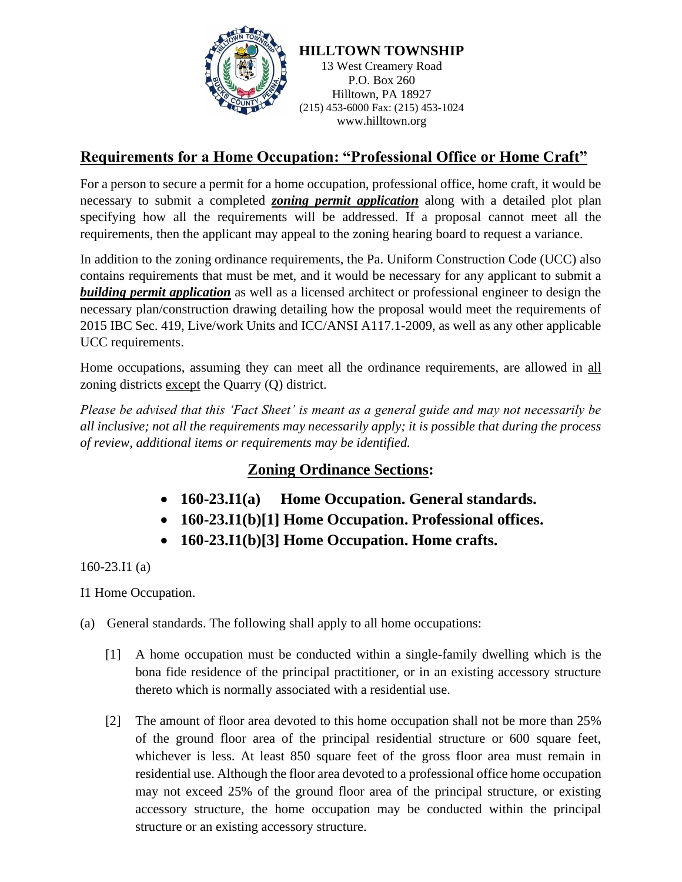

## **Requirements for a Home Occupation: "Professional Office or Home Craft"**

For a person to secure a permit for a home occupation, professional office, home craft, it would be necessary to submit a completed *zoning permit application* along with a detailed plot plan specifying how all the requirements will be addressed. If a proposal cannot meet all the requirements, then the applicant may appeal to the zoning hearing board to request a variance.

In addition to the zoning ordinance requirements, the Pa. Uniform Construction Code (UCC) also contains requirements that must be met, and it would be necessary for any applicant to submit a *building permit application* as well as a licensed architect or professional engineer to design the necessary plan/construction drawing detailing how the proposal would meet the requirements of 2015 IBC Sec. 419, Live/work Units and ICC/ANSI A117.1-2009, as well as any other applicable UCC requirements.

Home occupations, assuming they can meet all the ordinance requirements, are allowed in all zoning districts except the Quarry (Q) district.

*Please be advised that this 'Fact Sheet' is meant as a general guide and may not necessarily be all inclusive; not all the requirements may necessarily apply; it is possible that during the process of review, additional items or requirements may be identified.*

## **Zoning Ordinance Sections:**

- **160-23.I1(a) Home Occupation. General standards.**
- **160-23.I1(b)[1] Home Occupation. Professional offices.**
- **160-23.I1(b)[3] Home Occupation. Home crafts.**

160-23.I1 (a)

I1 Home Occupation.

(a) General standards. The following shall apply to all home occupations:

- [1] A home occupation must be conducted within a single-family dwelling which is the bona fide residence of the principal practitioner, or in an existing accessory structure thereto which is normally associated with a residential use.
- [2] The amount of floor area devoted to this home occupation shall not be more than 25% of the ground floor area of the principal residential structure or 600 square feet, whichever is less. At least 850 square feet of the gross floor area must remain in residential use. Although the floor area devoted to a professional office home occupation may not exceed 25% of the ground floor area of the principal structure, or existing accessory structure, the home occupation may be conducted within the principal structure or an existing accessory structure.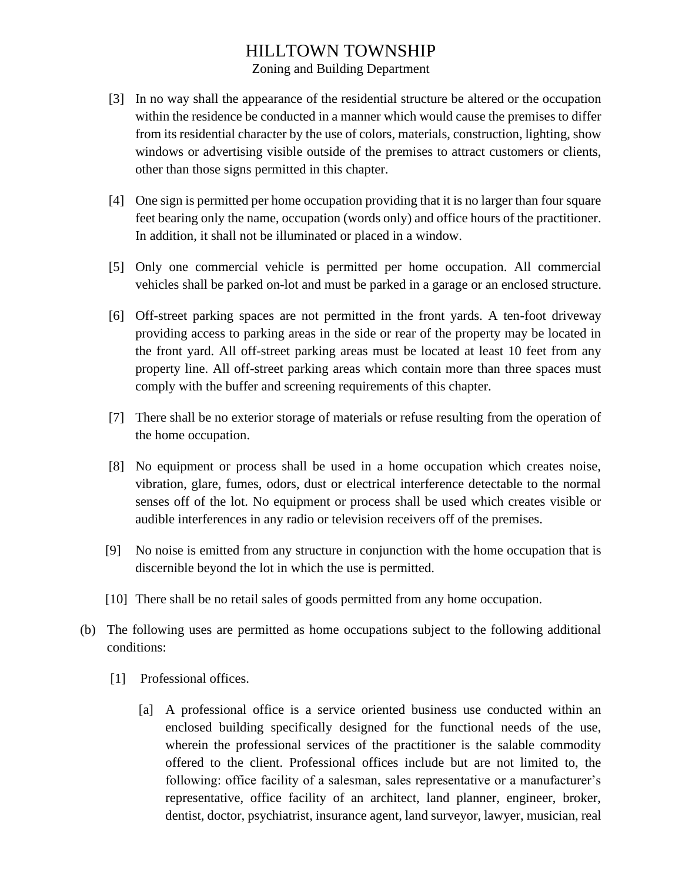## HILLTOWN TOWNSHIP

Zoning and Building Department

- [3] In no way shall the appearance of the residential structure be altered or the occupation within the residence be conducted in a manner which would cause the premises to differ from its residential character by the use of colors, materials, construction, lighting, show windows or advertising visible outside of the premises to attract customers or clients, other than those signs permitted in this chapter.
- [4] One sign is permitted per home occupation providing that it is no larger than four square feet bearing only the name, occupation (words only) and office hours of the practitioner. In addition, it shall not be illuminated or placed in a window.
- [5] Only one commercial vehicle is permitted per home occupation. All commercial vehicles shall be parked on-lot and must be parked in a garage or an enclosed structure.
- [6] Off-street parking spaces are not permitted in the front yards. A ten-foot driveway providing access to parking areas in the side or rear of the property may be located in the front yard. All off-street parking areas must be located at least 10 feet from any property line. All off-street parking areas which contain more than three spaces must comply with the buffer and screening requirements of this chapter.
- [7] There shall be no exterior storage of materials or refuse resulting from the operation of the home occupation.
- [8] No equipment or process shall be used in a home occupation which creates noise, vibration, glare, fumes, odors, dust or electrical interference detectable to the normal senses off of the lot. No equipment or process shall be used which creates visible or audible interferences in any radio or television receivers off of the premises.
- [9] No noise is emitted from any structure in conjunction with the home occupation that is discernible beyond the lot in which the use is permitted.
- [10] There shall be no retail sales of goods permitted from any home occupation.
- (b) The following uses are permitted as home occupations subject to the following additional conditions:
	- [1] Professional offices.
		- [a] A professional office is a service oriented business use conducted within an enclosed building specifically designed for the functional needs of the use, wherein the professional services of the practitioner is the salable commodity offered to the client. Professional offices include but are not limited to, the following: office facility of a salesman, sales representative or a manufacturer's representative, office facility of an architect, land planner, engineer, broker, dentist, doctor, psychiatrist, insurance agent, land surveyor, lawyer, musician, real